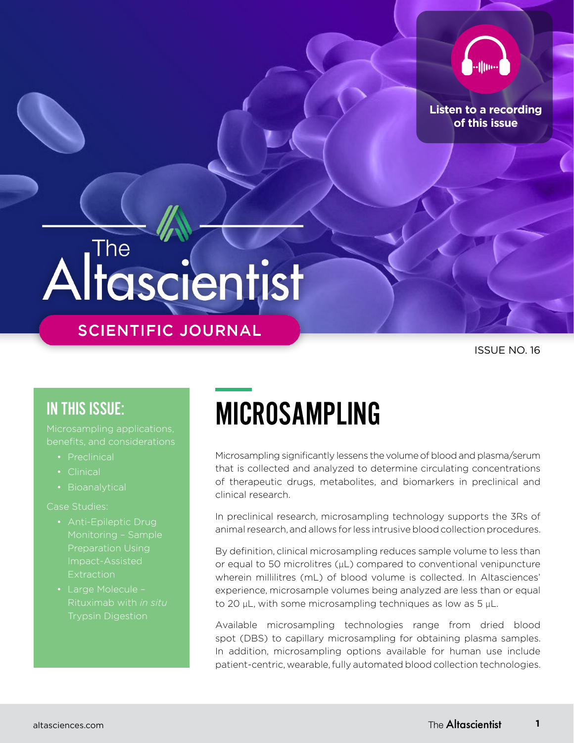

**[Listen to a recording](https://soundcloud.com/user-255891856/the-altascientist-issue-16-microsampling?in=user-255891856/sets/the-altascientist-scientific-journal-audiobook&utm_source=clipboard&utm_medium=text&utm_campaign=social_sharing)  of this issue**

# Altascientist

### **SCIENTIFIC JOURNAL**

ISSUE NO. 16

### IN THIS ISSUE:

Microsampling applications, benefits, and considerations

- Preclinical
- Clinical
- Bioanalytical

Case Studies:

- Anti-Epileptic Drug Preparation Using Impact-Assisted
- Large Molecule Trypsin Digestion

### MICROSAMPLING

Microsampling significantly lessens the volume of blood and plasma/serum that is collected and analyzed to determine circulating concentrations of therapeutic drugs, metabolites, and biomarkers in preclinical and clinical research.

In preclinical research, microsampling technology supports the 3Rs of animal research, and allows for less intrusive blood collection procedures.

By definition, clinical microsampling reduces sample volume to less than or equal to 50 microlitres (μL) compared to conventional venipuncture wherein millilitres (mL) of blood volume is collected. In Altasciences' experience, microsample volumes being analyzed are less than or equal to 20 μL, with some microsampling techniques as low as 5 μL.

Available microsampling technologies range from dried blood spot (DBS) to capillary microsampling for obtaining plasma samples. In addition, microsampling options available for human use include patient-centric, wearable, fully automated blood collection technologies.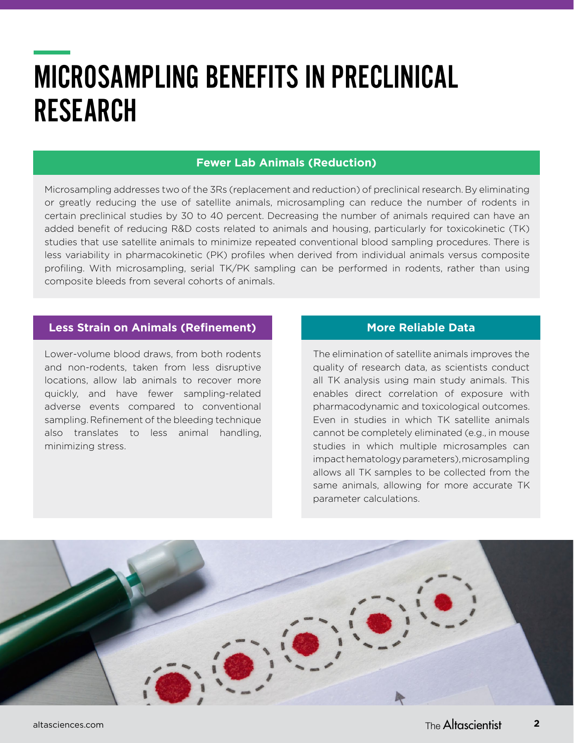### MICROSAMPLING BENEFITS IN PRECLINICAL RESEARCH

#### **Fewer Lab Animals (Reduction)**

Microsampling addresses two of the 3Rs (replacement and reduction) of preclinical research. By eliminating or greatly reducing the use of satellite animals, microsampling can reduce the number of rodents in certain preclinical studies by 30 to 40 percent. Decreasing the number of animals required can have an added benefit of reducing R&D costs related to animals and housing, particularly for toxicokinetic (TK) studies that use satellite animals to minimize repeated conventional blood sampling procedures. There is less variability in pharmacokinetic (PK) profiles when derived from individual animals versus composite profiling. With microsampling, serial TK/PK sampling can be performed in rodents, rather than using composite bleeds from several cohorts of animals.

#### **Less Strain on Animals (Refinement)**

Lower-volume blood draws, from both rodents and non-rodents, taken from less disruptive locations, allow lab animals to recover more quickly, and have fewer sampling-related adverse events compared to conventional sampling. Refinement of the bleeding technique also translates to less animal handling, minimizing stress.

#### **More Reliable Data**

The elimination of satellite animals improves the quality of research data, as scientists conduct all TK analysis using main study animals. This enables direct correlation of exposure with pharmacodynamic and toxicological outcomes. Even in studies in which TK satellite animals cannot be completely eliminated (e.g., in mouse studies in which multiple microsamples can impact hematology parameters), microsampling allows all TK samples to be collected from the same animals, allowing for more accurate TK parameter calculations.

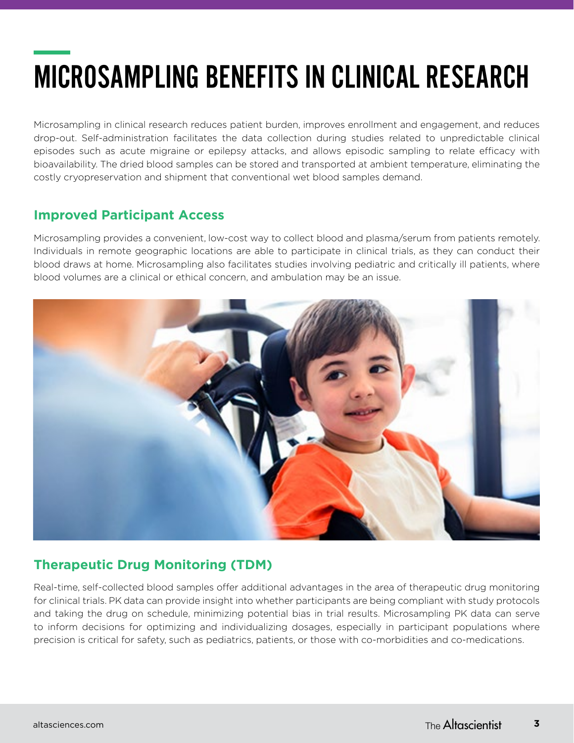### MICROSAMPLING BENEFITS IN CLINICAL RESEARCH

Microsampling in clinical research reduces patient burden, improves enrollment and engagement, and reduces drop-out. Self-administration facilitates the data collection during studies related to unpredictable clinical episodes such as acute migraine or epilepsy attacks, and allows episodic sampling to relate efficacy with bioavailability. The dried blood samples can be stored and transported at ambient temperature, eliminating the costly cryopreservation and shipment that conventional wet blood samples demand.

#### **Improved Participant Access**

Microsampling provides a convenient, low-cost way to collect blood and plasma/serum from patients remotely. Individuals in remote geographic locations are able to participate in clinical trials, as they can conduct their blood draws at home. Microsampling also facilitates studies involving pediatric and critically ill patients, where blood volumes are a clinical or ethical concern, and ambulation may be an issue.



#### **Therapeutic Drug Monitoring (TDM)**

Real-time, self-collected blood samples offer additional advantages in the area of therapeutic drug monitoring for clinical trials. PK data can provide insight into whether participants are being compliant with study protocols and taking the drug on schedule, minimizing potential bias in trial results. Microsampling PK data can serve to inform decisions for optimizing and individualizing dosages, especially in participant populations where precision is critical for safety, such as pediatrics, patients, or those with co-morbidities and co-medications.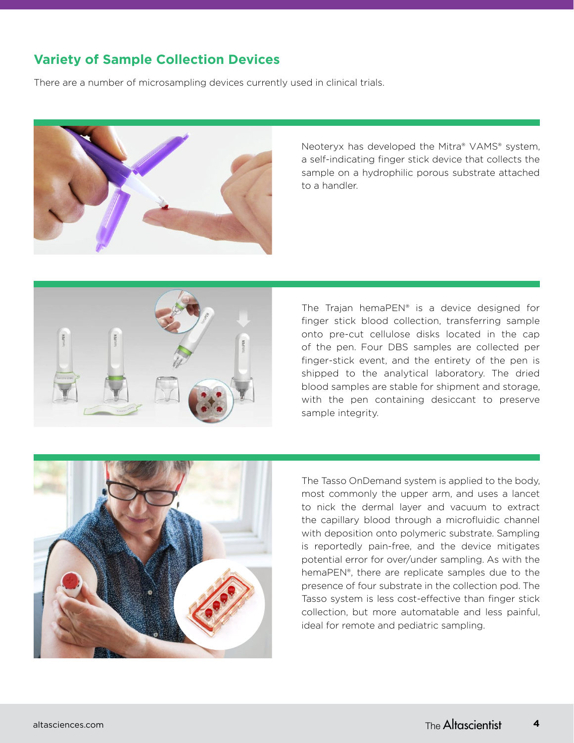#### **Variety of Sample Collection Devices**

There are a number of microsampling devices currently used in clinical trials.



Neoteryx has developed the Mitra® VAMS® system, a self-indicating finger stick device that collects the sample on a hydrophilic porous substrate attached to a handler.



The Trajan hemaPEN® is a device designed for finger stick blood collection, transferring sample onto pre-cut cellulose disks located in the cap of the pen. Four DBS samples are collected per finger-stick event, and the entirety of the pen is shipped to the analytical laboratory. The dried blood samples are stable for shipment and storage, with the pen containing desiccant to preserve sample integrity.



The Tasso OnDemand system is applied to the body, most commonly the upper arm, and uses a lancet to nick the dermal layer and vacuum to extract the capillary blood through a microfluidic channel with deposition onto polymeric substrate. Sampling is reportedly pain-free, and the device mitigates potential error for over/under sampling. As with the hemaPEN®, there are replicate samples due to the presence of four substrate in the collection pod. The Tasso system is less cost-effective than finger stick collection, but more automatable and less painful, ideal for remote and pediatric sampling.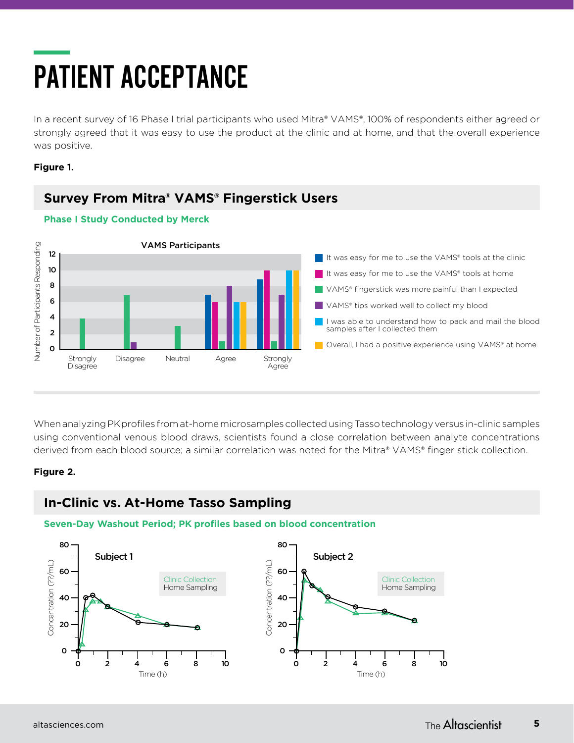## PATIENT ACCEPTANCE

In a recent survey of 16 Phase I trial participants who used Mitra® VAMS®, 100% of respondents either agreed or strongly agreed that it was easy to use the product at the clinic and at home, and that the overall experience was positive.

#### **Figure 1.**

#### **Survey From Mitra® VAMS® Fingerstick Users Phase I Study Conducted by Merck** VAMS Participants Number of Participants Responding Number of Participants Responding 12 It was easy for me to use the VAMS® tools at the clinic 10 It was easy for me to use the VAMS® tools at home 8 VAMS® fingerstick was more painful than I expected 6 VAMS® tips worked well to collect my blood 4 I was able to understand how to pack and mail the blood samples after I collected them 2 Overall, I had a positive experience using VAMS® at home  $\Omega$

When analyzing PK profiles from at-home microsamples collected using Tasso technology versus in-clinic samples using conventional venous blood draws, scientists found a close correlation between analyte concentrations derived from each blood source; a similar correlation was noted for the Mitra® VAMS® finger stick collection.

**Agree** 

#### **Figure 2.**

**Strongly Disagree** 

#### **In-Clinic vs. At-Home Tasso Sampling**

#### **Seven-Day Washout Period; PK profiles based on blood concentration**

Disagree Neutral Agree Strongly

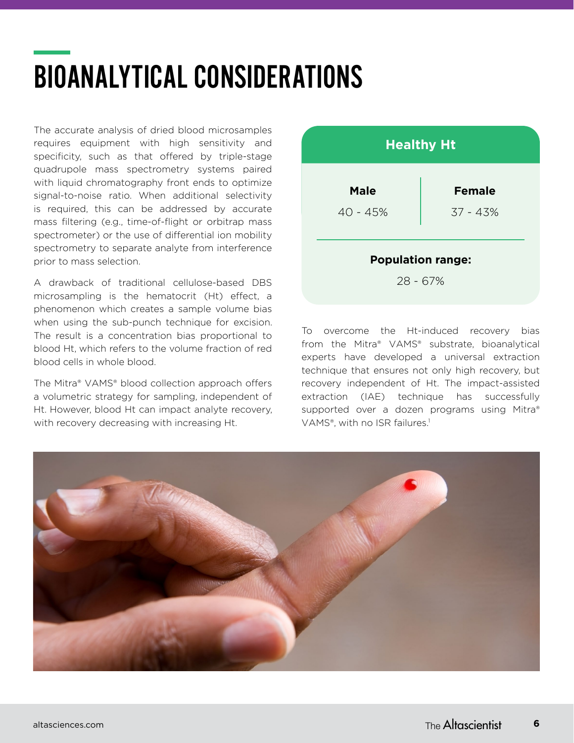### BIOANALYTICAL CONSIDERATIONS

The accurate analysis of dried blood microsamples requires equipment with high sensitivity and specificity, such as that offered by triple-stage quadrupole mass spectrometry systems paired with liquid chromatography front ends to optimize signal-to-noise ratio. When additional selectivity is required, this can be addressed by accurate mass filtering (e.g., time-of-flight or orbitrap mass spectrometer) or the use of differential ion mobility spectrometry to separate analyte from interference prior to mass selection.

A drawback of traditional cellulose-based DBS microsampling is the hematocrit (Ht) effect, a phenomenon which creates a sample volume bias when using the sub-punch technique for excision. The result is a concentration bias proportional to blood Ht, which refers to the volume fraction of red blood cells in whole blood.

The Mitra® VAMS® blood collection approach offers a volumetric strategy for sampling, independent of Ht. However, blood Ht can impact analyte recovery, with recovery decreasing with increasing Ht.



To overcome the Ht-induced recovery bias from the Mitra® VAMS® substrate, bioanalytical experts have developed a universal extraction technique that ensures not only high recovery, but recovery independent of Ht. The impact-assisted extraction (IAE) technique has successfully supported over a dozen programs using Mitra® VAMS®, with no ISR failures.<sup>1</sup>

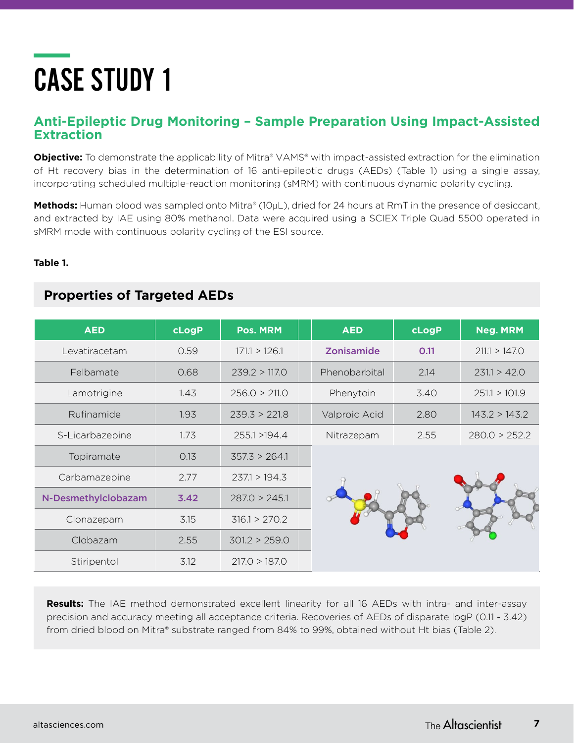

#### **Anti-Epileptic Drug Monitoring – Sample Preparation Using Impact-Assisted Extraction**

**Objective:** To demonstrate the applicability of Mitra® VAMS® with impact-assisted extraction for the elimination of Ht recovery bias in the determination of 16 anti-epileptic drugs (AEDs) (Table 1) using a single assay, incorporating scheduled multiple-reaction monitoring (sMRM) with continuous dynamic polarity cycling.

**Methods:** Human blood was sampled onto Mitra® (10μL), dried for 24 hours at RmT in the presence of desiccant, and extracted by IAE using 80% methanol. Data were acquired using a SCIEX Triple Quad 5500 operated in sMRM mode with continuous polarity cycling of the ESI source.

#### **Table 1.**

#### **Properties of Targeted AEDs**

| <b>AED</b>          | cLogP | <b>Pos. MRM</b> |  | <b>AED</b>        | cLogP | <b>Neg. MRM</b> |  |  |
|---------------------|-------|-----------------|--|-------------------|-------|-----------------|--|--|
| Levatiracetam       | 0.59  | 171.1 > 126.1   |  | <b>Zonisamide</b> | 0.11  | 211.1 > 147.0   |  |  |
| Felbamate           | 0.68  | 239.2 > 117.0   |  | Phenobarbital     | 2.14  | 231.1 > 42.0    |  |  |
| Lamotrigine         | 1.43  | 256.0 > 211.0   |  | Phenytoin         | 3.40  | 251.1 > 101.9   |  |  |
| Rufinamide          | 1.93  | 239.3 > 221.8   |  | Valproic Acid     | 2.80  | 143.2 > 143.2   |  |  |
| S-Licarbazepine     | 1.73  | 255.1 > 194.4   |  | Nitrazepam        | 2.55  | 280.0 > 252.2   |  |  |
| Topiramate          | 0.13  | 357.3 > 264.1   |  |                   |       |                 |  |  |
| Carbamazepine       | 2.77  | 237.1 > 194.3   |  |                   |       |                 |  |  |
| N-Desmethylclobazam | 3.42  | 287.0 > 245.1   |  |                   |       |                 |  |  |
| Clonazepam          | 3.15  | 316.1 > 270.2   |  |                   |       |                 |  |  |
| Clobazam            | 2.55  | 301.2 > 259.0   |  |                   |       |                 |  |  |
| Stiripentol         | 3.12  | 217.0 > 187.0   |  |                   |       |                 |  |  |

**Results:** The IAE method demonstrated excellent linearity for all 16 AEDs with intra- and inter-assay precision and accuracy meeting all acceptance criteria. Recoveries of AEDs of disparate logP (0.11 - 3.42) from dried blood on Mitra® substrate ranged from 84% to 99%, obtained without Ht bias (Table 2).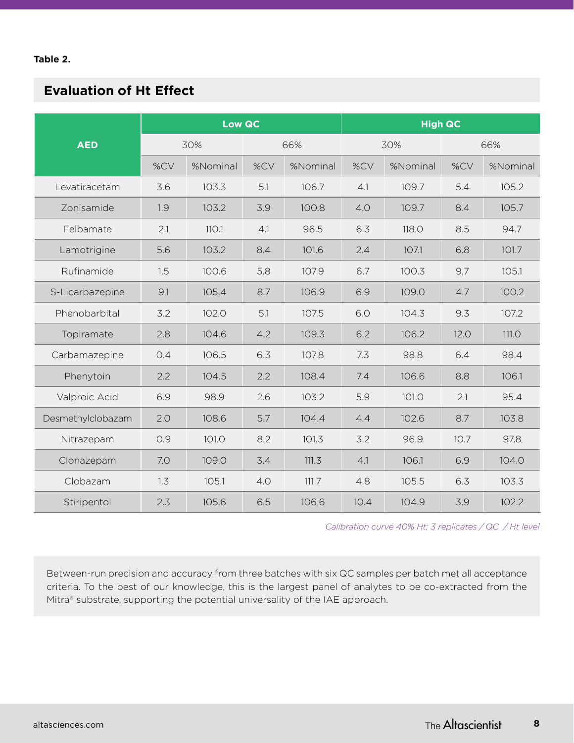#### **Table 2.**

#### **Evaluation of Ht Effect**

|                   |     | <b>Low QC</b> |     |          | <b>High QC</b> |              |      |          |  |
|-------------------|-----|---------------|-----|----------|----------------|--------------|------|----------|--|
| <b>AED</b>        | 30% |               |     | 66%      |                | 30%          | 66%  |          |  |
|                   | %CV | %Nominal      | %CV | %Nominal | %CV            | %Nominal     | %CV  | %Nominal |  |
| Levatiracetam     | 3.6 | 103.3         | 5.1 | 106.7    | 4.1            | 109.7        | 5.4  | 105.2    |  |
| Zonisamide        | 1.9 | 103.2         | 3.9 | 100.8    | 4.0            | 109.7        | 8.4  | 105.7    |  |
| Felbamate         | 2.1 | 110.1         | 4.1 | 96.5     | 6.3            | <b>118.0</b> | 8.5  | 94.7     |  |
| Lamotrigine       | 5.6 | 103.2         | 8.4 | 101.6    | 2.4            | 107.1        | 6.8  | 101.7    |  |
| Rufinamide        | 1.5 | 100.6         | 5.8 | 107.9    | 6.7            | 100.3        | 9,7  | 105.1    |  |
| S-Licarbazepine   | 9.1 | 105.4         | 8.7 | 106.9    | 6.9            | 109.0        | 4.7  | 100.2    |  |
| Phenobarbital     | 3.2 | 102.0         | 5.1 | 107.5    | 6.0            | 104.3        | 9.3  | 107.2    |  |
| Topiramate        | 2.8 | 104.6         | 4.2 | 109.3    | 6.2            | 106.2        | 12.0 | 111.O    |  |
| Carbamazepine     | 0.4 | 106.5         | 6.3 | 107.8    | 7.3            | 98.8         | 6.4  | 98.4     |  |
| Phenytoin         | 2.2 | 104.5         | 2.2 | 108.4    | 7.4            | 106.6        | 8.8  | 106.1    |  |
| Valproic Acid     | 6.9 | 98.9          | 2.6 | 103.2    | 5.9            | 101.0        | 2.1  | 95.4     |  |
| Desmethylclobazam | 2.0 | 108.6         | 5.7 | 104.4    | 4.4            | 102.6        | 8.7  | 103.8    |  |
| Nitrazepam        | 0.9 | 101.0         | 8.2 | 101.3    | 3.2            | 96.9         | 10.7 | 97.8     |  |
| Clonazepam        | 7.0 | 109.0         | 3.4 | 111.3    | 4.1            | 106.1        | 6.9  | 104.0    |  |
| Clobazam          | 1.3 | 105.1         | 4.0 | 111.7    | 4.8            | 105.5        | 6.3  | 103.3    |  |
| Stiripentol       | 2.3 | 105.6         | 6.5 | 106.6    | 10.4           | 104.9        | 3.9  | 102.2    |  |

*Calibration curve 40% Ht; 3 replicates / QC / Ht level* 

Between-run precision and accuracy from three batches with six QC samples per batch met all acceptance criteria. To the best of our knowledge, this is the largest panel of analytes to be co-extracted from the Mitra® substrate, supporting the potential universality of the IAE approach.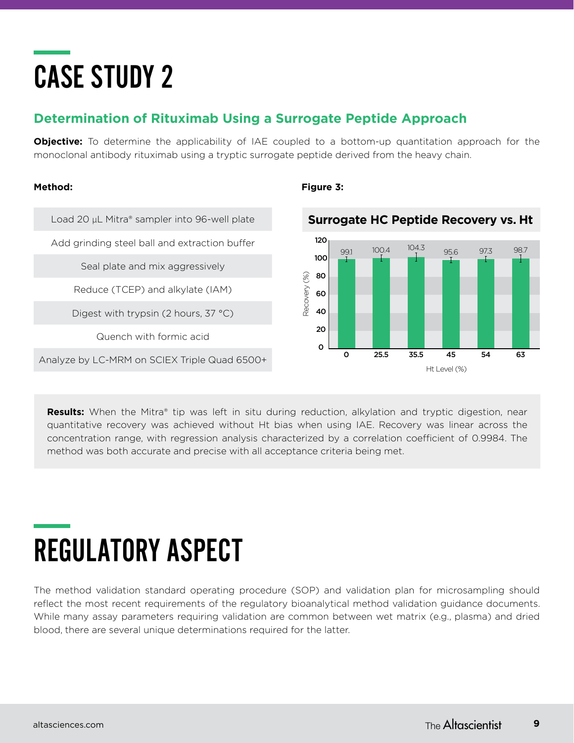# CASE STUDY 2

#### **Determination of Rituximab Using a Surrogate Peptide Approach**

**Objective:** To determine the applicability of IAE coupled to a bottom-up quantitation approach for the monoclonal antibody rituximab using a tryptic surrogate peptide derived from the heavy chain.

#### **Method: Figure 3:**



**Results:** When the Mitra® tip was left in situ during reduction, alkylation and tryptic digestion, near quantitative recovery was achieved without Ht bias when using IAE. Recovery was linear across the concentration range, with regression analysis characterized by a correlation coefficient of 0.9984. The method was both accurate and precise with all acceptance criteria being met.

### REGULATORY ASPECT

The method validation standard operating procedure (SOP) and validation plan for microsampling should reflect the most recent requirements of the regulatory bioanalytical method validation guidance documents. While many assay parameters requiring validation are common between wet matrix (e.g., plasma) and dried blood, there are several unique determinations required for the latter.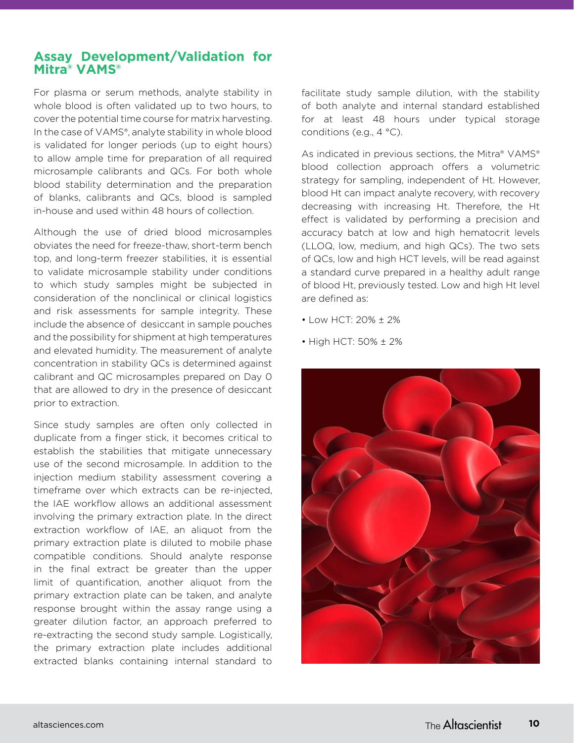#### **Assay Development/Validation for Mitra® VAMS®**

For plasma or serum methods, analyte stability in whole blood is often validated up to two hours, to cover the potential time course for matrix harvesting. In the case of VAMS®, analyte stability in whole blood is validated for longer periods (up to eight hours) to allow ample time for preparation of all required microsample calibrants and QCs. For both whole blood stability determination and the preparation of blanks, calibrants and QCs, blood is sampled in-house and used within 48 hours of collection.

Although the use of dried blood microsamples obviates the need for freeze-thaw, short-term bench top, and long-term freezer stabilities, it is essential to validate microsample stability under conditions to which study samples might be subjected in consideration of the nonclinical or clinical logistics and risk assessments for sample integrity. These include the absence of desiccant in sample pouches and the possibility for shipment at high temperatures and elevated humidity. The measurement of analyte concentration in stability QCs is determined against calibrant and QC microsamples prepared on Day 0 that are allowed to dry in the presence of desiccant prior to extraction.

Since study samples are often only collected in duplicate from a finger stick, it becomes critical to establish the stabilities that mitigate unnecessary use of the second microsample. In addition to the injection medium stability assessment covering a timeframe over which extracts can be re-injected, the IAE workflow allows an additional assessment involving the primary extraction plate. In the direct extraction workflow of IAE, an aliquot from the primary extraction plate is diluted to mobile phase compatible conditions. Should analyte response in the final extract be greater than the upper limit of quantification, another aliquot from the primary extraction plate can be taken, and analyte response brought within the assay range using a greater dilution factor, an approach preferred to re-extracting the second study sample. Logistically, the primary extraction plate includes additional extracted blanks containing internal standard to

facilitate study sample dilution, with the stability of both analyte and internal standard established for at least 48 hours under typical storage conditions (e.g., 4 °C).

As indicated in previous sections, the Mitra® VAMS® blood collection approach offers a volumetric strategy for sampling, independent of Ht. However, blood Ht can impact analyte recovery, with recovery decreasing with increasing Ht. Therefore, the Ht effect is validated by performing a precision and accuracy batch at low and high hematocrit levels (LLOQ, low, medium, and high QCs). The two sets of QCs, low and high HCT levels, will be read against a standard curve prepared in a healthy adult range of blood Ht, previously tested. Low and high Ht level are defined as:

- Low HCT: 20% ± 2%
- High HCT: 50% ± 2%

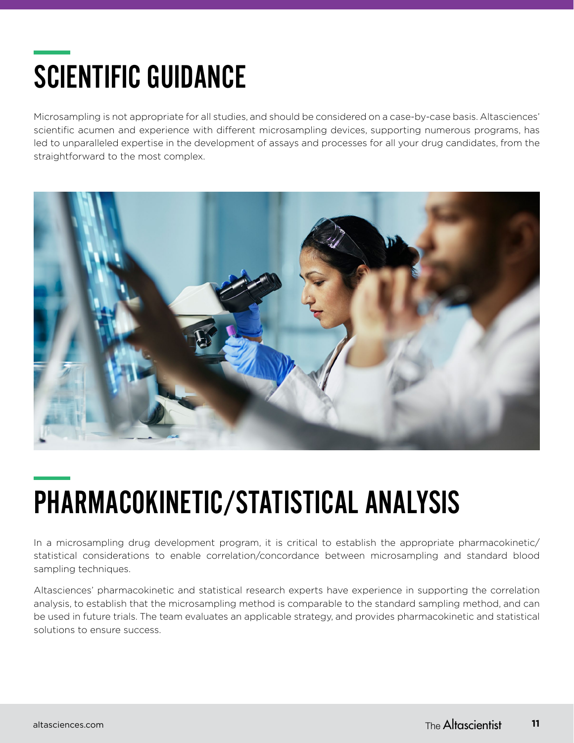# SCIENTIFIC GUIDANCE

Microsampling is not appropriate for all studies, and should be considered on a case-by-case basis. Altasciences' scientific acumen and experience with different microsampling devices, supporting numerous programs, has led to unparalleled expertise in the development of assays and processes for all your drug candidates, from the straightforward to the most complex.



### PHARMACOKINETIC/STATISTICAL ANALYSIS

In a microsampling drug development program, it is critical to establish the appropriate pharmacokinetic/ statistical considerations to enable correlation/concordance between microsampling and standard blood sampling techniques.

Altasciences' pharmacokinetic and statistical research experts have experience in supporting the correlation analysis, to establish that the microsampling method is comparable to the standard sampling method, and can be used in future trials. The team evaluates an applicable strategy, and provides pharmacokinetic and statistical solutions to ensure success.